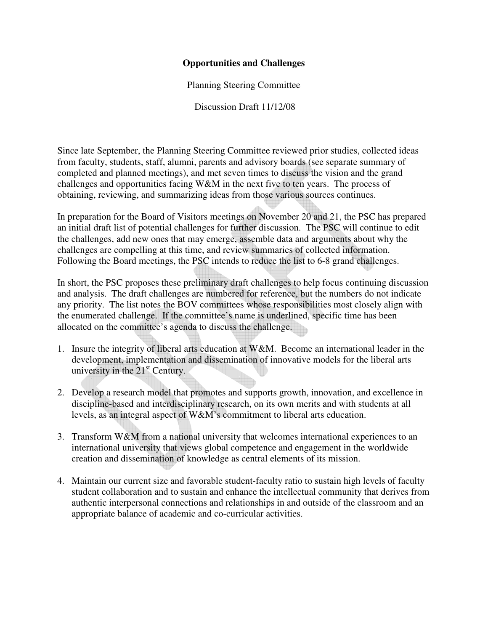## **Opportunities and Challenges**

Planning Steering Committee

Discussion Draft 11/12/08

Since late September, the Planning Steering Committee reviewed prior studies, collected ideas from faculty, students, staff, alumni, parents and advisory boards (see separate summary of completed and planned meetings), and met seven times to discuss the vision and the grand challenges and opportunities facing W&M in the next five to ten years. The process of obtaining, reviewing, and summarizing ideas from those various sources continues.

In preparation for the Board of Visitors meetings on November 20 and 21, the PSC has prepared an initial draft list of potential challenges for further discussion. The PSC will continue to edit the challenges, add new ones that may emerge, assemble data and arguments about why the challenges are compelling at this time, and review summaries of collected information. Following the Board meetings, the PSC intends to reduce the list to 6-8 grand challenges.

In short, the PSC proposes these preliminary draft challenges to help focus continuing discussion and analysis. The draft challenges are numbered for reference, but the numbers do not indicate any priority. The list notes the BOV committees whose responsibilities most closely align with the enumerated challenge. If the committee's name is underlined, specific time has been allocated on the committee's agenda to discuss the challenge.

- 1. Insure the integrity of liberal arts education at  $W\&M$ . Become an international leader in the development, implementation and dissemination of innovative models for the liberal arts university in the  $21<sup>st</sup>$  Century.
- 2. Develop a research model that promotes and supports growth, innovation, and excellence in discipline-based and interdisciplinary research, on its own merits and with students at all levels, as an integral aspect of W&M's commitment to liberal arts education.
- 3. Transform W&M from a national university that welcomes international experiences to an international university that views global competence and engagement in the worldwide creation and dissemination of knowledge as central elements of its mission.
- 4. Maintain our current size and favorable student-faculty ratio to sustain high levels of faculty student collaboration and to sustain and enhance the intellectual community that derives from authentic interpersonal connections and relationships in and outside of the classroom and an appropriate balance of academic and co-curricular activities.